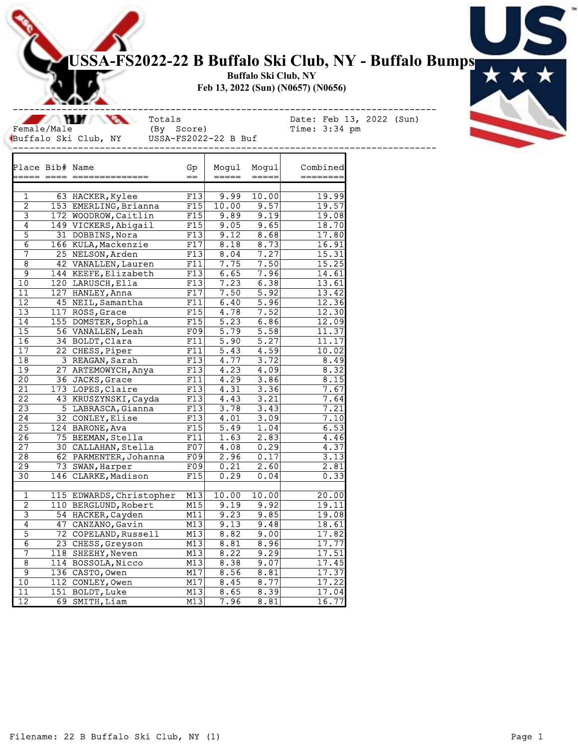## USSA-FS2022-22 B Buffalo Ski Club, NY - Buffalo Bumps

Buffalo Ski Club, NY Feb 13, 2022 (Sun) (N0657) (N0656)

 $\mathcal{L}$ Female/Male (By Score) Time: 3:34 pm<br>Buffalo Ski Club, NY USSA-FS2022-22 B Buf Buffalo Ski Club, NY USSA-FS2022-22 B Buf

Totals Date: Feb 13, 2022 (Sun)<br>(By Score) Time: 3:34 pm

| Place Bib# Name         |                          | ${\rm Gp}$ | Moqul                                                                                                                                                                                                                                                                                                                                                                                                                                                                             | Mogul   | Combined       |
|-------------------------|--------------------------|------------|-----------------------------------------------------------------------------------------------------------------------------------------------------------------------------------------------------------------------------------------------------------------------------------------------------------------------------------------------------------------------------------------------------------------------------------------------------------------------------------|---------|----------------|
|                         |                          | $=$        | $\qquad \qquad \doteq \qquad \qquad \doteq \qquad \qquad \doteq \qquad \qquad \doteq \qquad \qquad \doteq \qquad \qquad \doteq \qquad \qquad \qquad \doteq \qquad \qquad \doteq \qquad \qquad \doteq \qquad \qquad \doteq \qquad \qquad \doteq \qquad \qquad \doteq \qquad \qquad \doteq \qquad \qquad \doteq \qquad \qquad \doteq \qquad \qquad \doteq \qquad \qquad \doteq \qquad \qquad \doteq \qquad \qquad \doteq \qquad \qquad \doteq \qquad \qquad \doteq \qquad \qquad \$ | $=====$ | ========       |
|                         |                          |            |                                                                                                                                                                                                                                                                                                                                                                                                                                                                                   |         |                |
| 1                       | 63 HACKER, Kylee         | F13        | 9.99                                                                                                                                                                                                                                                                                                                                                                                                                                                                              | 10.00   | 19.99          |
| $\overline{2}$          | 153 EMERLING, Brianna    | F15        | 10.00                                                                                                                                                                                                                                                                                                                                                                                                                                                                             | 9.57    | 19.57          |
| $\overline{\mathbf{3}}$ | 172 WOODROW, Caitlin     | F15        | 9.89                                                                                                                                                                                                                                                                                                                                                                                                                                                                              | 9.19    | 19.08          |
| $\overline{4}$          | 149 VICKERS, Abigail     | F15        | 9.05                                                                                                                                                                                                                                                                                                                                                                                                                                                                              | 9.65    | 18.70          |
| $\overline{5}$          | 31 DOBBINS, Nora         | F13        | 9.12                                                                                                                                                                                                                                                                                                                                                                                                                                                                              | 8.68    | 17.80          |
| $\overline{6}$          | 166 KULA, Mackenzie      | F17        | 8.18                                                                                                                                                                                                                                                                                                                                                                                                                                                                              | 8.73    | 16.91          |
| 7                       | 25 NELSON, Arden         | F13        | 8.04                                                                                                                                                                                                                                                                                                                                                                                                                                                                              | 7.27    | 15.31          |
| $\overline{8}$          | 42 VANALLEN, Lauren      | F11        | 7.75                                                                                                                                                                                                                                                                                                                                                                                                                                                                              | 7.50    | 15.25          |
| 9                       | 144 KEEFE, Elizabeth     | F13        | 6.65                                                                                                                                                                                                                                                                                                                                                                                                                                                                              | 7.96    | 14.61          |
| 10                      | 120 LARUSCH, Ella        | F13        | 7.23                                                                                                                                                                                                                                                                                                                                                                                                                                                                              | 6.38    | 13.61          |
| 11                      | 127 HANLEY, Anna         | F17        | 7.50                                                                                                                                                                                                                                                                                                                                                                                                                                                                              | 5.92    | 13.42          |
| $\overline{12}$         | 45 NEIL, Samantha        | F11        | 6.40                                                                                                                                                                                                                                                                                                                                                                                                                                                                              | 5.96    | 12.36          |
| $\overline{13}$         | 117 ROSS, Grace          | F15        | 4.78                                                                                                                                                                                                                                                                                                                                                                                                                                                                              | 7.52    | 12.30          |
| 14                      | 155 DOMSTER, Sophia      | F15        | $\overline{5.23}$                                                                                                                                                                                                                                                                                                                                                                                                                                                                 | 6.86    | 12.09          |
| $\overline{15}$         | 56 VANALLEN, Leah        | F09        | 5.79                                                                                                                                                                                                                                                                                                                                                                                                                                                                              | 5.58    | 11.37          |
| $\overline{16}$         | 34 BOLDT, Clara          | F11        | 5.90                                                                                                                                                                                                                                                                                                                                                                                                                                                                              | 5.27    | 11.17          |
| $\overline{17}$         | 22 CHESS, Piper          | F11        | $\overline{5.43}$                                                                                                                                                                                                                                                                                                                                                                                                                                                                 | 4.59    | 10.02          |
| 18                      | 3 REAGAN, Sarah          | F13        | 4.77                                                                                                                                                                                                                                                                                                                                                                                                                                                                              | 3.72    | 8.49           |
| $\overline{19}$         | 27 ARTEMOWYCH, Anya      | F13        | 4.23                                                                                                                                                                                                                                                                                                                                                                                                                                                                              | 4.09    | 8.32           |
| $\overline{20}$         | 36 JACKS, Grace          | F11        | 4.29                                                                                                                                                                                                                                                                                                                                                                                                                                                                              | 3.86    | 8.15           |
| $\overline{21}$         | 173 LOPES, Claire        | F13        | 4.31                                                                                                                                                                                                                                                                                                                                                                                                                                                                              | 3.36    | 7.67           |
| $\overline{22}$         | 43 KRUSZYNSKI, Cayda     | F13        | 4.43                                                                                                                                                                                                                                                                                                                                                                                                                                                                              | 3.21    | 7.64           |
| $\overline{23}$         | 5 LABRASCA, Gianna       | F13        | 3.78                                                                                                                                                                                                                                                                                                                                                                                                                                                                              | 3.43    | 7.21           |
| $\overline{24}$         | 32 CONLEY, Elise         | F13        | 4.01                                                                                                                                                                                                                                                                                                                                                                                                                                                                              | 3.09    | 7.10           |
| $\overline{25}$         | 124 BARONE, Ava          | F15        | 5.49                                                                                                                                                                                                                                                                                                                                                                                                                                                                              | 1.04    | 6.53           |
| $\overline{26}$         | 75 BEEMAN, Stella        | F11        | 1.63                                                                                                                                                                                                                                                                                                                                                                                                                                                                              | 2.83    | 4.46           |
| $\overline{27}$         | 30 CALLAHAN, Stella      | F07        | 4.08                                                                                                                                                                                                                                                                                                                                                                                                                                                                              | 0.29    | 4.37           |
| $\overline{28}$         | 62 PARMENTER, Johanna    | F09        | 2.96                                                                                                                                                                                                                                                                                                                                                                                                                                                                              | 0.17    | 3.13           |
| $\overline{29}$         | 73 SWAN, Harper          | F09        | 0.21                                                                                                                                                                                                                                                                                                                                                                                                                                                                              | 2.60    | 2.81           |
| $\overline{30}$         | 146 CLARKE, Madison      | F15        | 0.29                                                                                                                                                                                                                                                                                                                                                                                                                                                                              | 0.04    | 0.33           |
|                         |                          |            |                                                                                                                                                                                                                                                                                                                                                                                                                                                                                   |         |                |
| $\mathbf{1}$            | 115 EDWARDS, Christopher | M13        | 10.00                                                                                                                                                                                                                                                                                                                                                                                                                                                                             | 10.00   | 20.00          |
| $\overline{2}$          | 110 BERGLUND, Robert     | M15        | 9.19                                                                                                                                                                                                                                                                                                                                                                                                                                                                              | 9.92    | 19.11          |
| $\overline{\mathbf{3}}$ | 54 HACKER, Cayden        | M11        | 9.23                                                                                                                                                                                                                                                                                                                                                                                                                                                                              | 9.85    | 19.08          |
| $\overline{4}$          | 47 CANZANO, Gavin        | M13        | 9.13                                                                                                                                                                                                                                                                                                                                                                                                                                                                              | 9.48    | 18.61          |
| 5                       | 72 COPELAND, Russell     | M13        | 8.82                                                                                                                                                                                                                                                                                                                                                                                                                                                                              | 9.00    | 17.82          |
| $\overline{6}$          | 23 CHESS, Greyson        | M13        | 8.81                                                                                                                                                                                                                                                                                                                                                                                                                                                                              | 8.96    | 17.77          |
| 7                       |                          | M13        | 8.22                                                                                                                                                                                                                                                                                                                                                                                                                                                                              | 9.29    |                |
| 8                       | 118 SHEEHY, Neven        | M13        | 8.38                                                                                                                                                                                                                                                                                                                                                                                                                                                                              | 9.07    | 17.51<br>17.45 |
|                         | 114 BOSSOLA, Nicco       |            |                                                                                                                                                                                                                                                                                                                                                                                                                                                                                   |         |                |
| 9                       | 136 CASTO, Owen          | M17        | 8.56                                                                                                                                                                                                                                                                                                                                                                                                                                                                              | 8.81    | 17.37          |
| 10                      | 112 CONLEY, Owen         | M17        | 8.45                                                                                                                                                                                                                                                                                                                                                                                                                                                                              | 8.77    | 17.22          |
| $\overline{11}$         | 151 BOLDT, Luke          | M13        | 8.65                                                                                                                                                                                                                                                                                                                                                                                                                                                                              | 8.39    | 17.04          |
| $\overline{12}$         | 69 SMITH, Liam           | M13        | 7.96                                                                                                                                                                                                                                                                                                                                                                                                                                                                              | 8.81    | 16.77          |